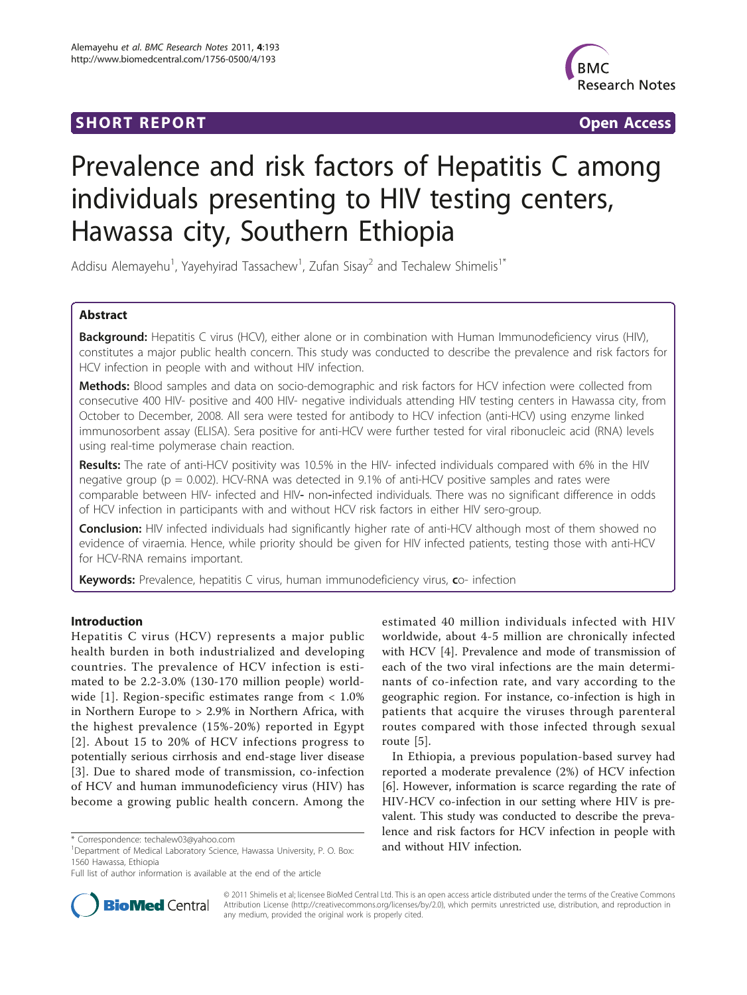## **SHORT REPORT CONSUMING THE OPEN ACCESS**



# Prevalence and risk factors of Hepatitis C among individuals presenting to HIV testing centers, Hawassa city, Southern Ethiopia

Addisu Alemayehu<sup>1</sup>, Yayehyirad Tassachew<sup>1</sup>, Zufan Sisay<sup>2</sup> and Techalew Shimelis<sup>1\*</sup>

## Abstract

Background: Hepatitis C virus (HCV), either alone or in combination with Human Immunodeficiency virus (HIV), constitutes a major public health concern. This study was conducted to describe the prevalence and risk factors for HCV infection in people with and without HIV infection.

Methods: Blood samples and data on socio-demographic and risk factors for HCV infection were collected from consecutive 400 HIV- positive and 400 HIV- negative individuals attending HIV testing centers in Hawassa city, from October to December, 2008. All sera were tested for antibody to HCV infection (anti-HCV) using enzyme linked immunosorbent assay (ELISA). Sera positive for anti-HCV were further tested for viral ribonucleic acid (RNA) levels using real-time polymerase chain reaction.

Results: The rate of anti-HCV positivity was 10.5% in the HIV- infected individuals compared with 6% in the HIV negative group (p = 0.002). HCV-RNA was detected in 9.1% of anti-HCV positive samples and rates were comparable between HIV- infected and HIV- non-infected individuals. There was no significant difference in odds of HCV infection in participants with and without HCV risk factors in either HIV sero-group.

Conclusion: HIV infected individuals had significantly higher rate of anti-HCV although most of them showed no evidence of viraemia. Hence, while priority should be given for HIV infected patients, testing those with anti-HCV for HCV-RNA remains important.

Keywords: Prevalence, hepatitis C virus, human immunodeficiency virus, co- infection

## Introduction

Hepatitis C virus (HCV) represents a major public health burden in both industrialized and developing countries. The prevalence of HCV infection is estimated to be 2.2-3.0% (130-170 million people) worldwide [[1\]](#page-4-0). Region-specific estimates range from < 1.0% in Northern Europe to > 2.9% in Northern Africa, with the highest prevalence (15%-20%) reported in Egypt [[2\]](#page-4-0). About 15 to 20% of HCV infections progress to potentially serious cirrhosis and end-stage liver disease [[3](#page-4-0)]. Due to shared mode of transmission, co-infection of HCV and human immunodeficiency virus (HIV) has become a growing public health concern. Among the

estimated 40 million individuals infected with HIV worldwide, about 4-5 million are chronically infected with HCV [[4](#page-4-0)]. Prevalence and mode of transmission of each of the two viral infections are the main determinants of co-infection rate, and vary according to the geographic region. For instance, co-infection is high in patients that acquire the viruses through parenteral routes compared with those infected through sexual route [\[5](#page-4-0)].

In Ethiopia, a previous population-based survey had reported a moderate prevalence (2%) of HCV infection [[6\]](#page-4-0). However, information is scarce regarding the rate of HIV-HCV co-infection in our setting where HIV is prevalent. This study was conducted to describe the prevalence and risk factors for HCV infection in people with



© 2011 Shimelis et al; licensee BioMed Central Ltd. This is an open access article distributed under the terms of the Creative Commons Attribution License [\(http://creativecommons.org/licenses/by/2.0](http://creativecommons.org/licenses/by/2.0)), which permits unrestricted use, distribution, and reproduction in any medium, provided the original work is properly cited.

<sup>\*</sup> Correspondence: [techalew03@yahoo.com](mailto:techalew03@yahoo.com)<br><sup>1</sup>Department of Medical Laboratory Science, Hawassa University, P. O. Box: **and without HIV infection.** 1560 Hawassa, Ethiopia

Full list of author information is available at the end of the article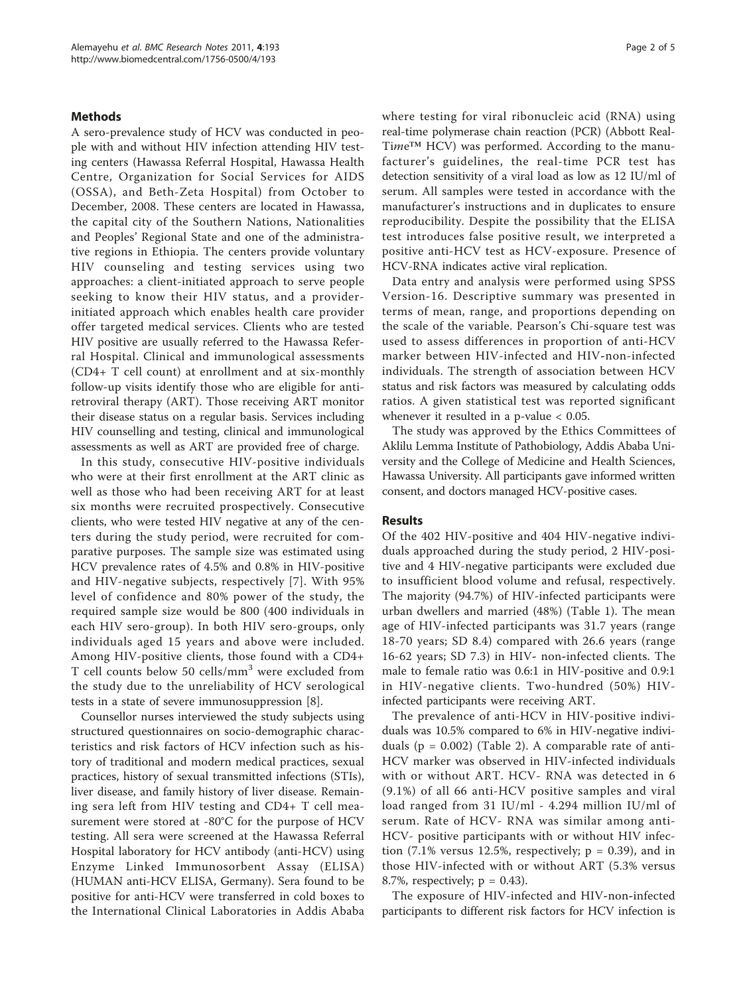## **Methods**

A sero-prevalence study of HCV was conducted in people with and without HIV infection attending HIV testing centers (Hawassa Referral Hospital, Hawassa Health Centre, Organization for Social Services for AIDS (OSSA), and Beth-Zeta Hospital) from October to December, 2008. These centers are located in Hawassa, the capital city of the Southern Nations, Nationalities and Peoples' Regional State and one of the administrative regions in Ethiopia. The centers provide voluntary HIV counseling and testing services using two approaches: a client-initiated approach to serve people seeking to know their HIV status, and a providerinitiated approach which enables health care provider offer targeted medical services. Clients who are tested HIV positive are usually referred to the Hawassa Referral Hospital. Clinical and immunological assessments (CD4+ T cell count) at enrollment and at six-monthly follow-up visits identify those who are eligible for antiretroviral therapy (ART). Those receiving ART monitor their disease status on a regular basis. Services including HIV counselling and testing, clinical and immunological assessments as well as ART are provided free of charge.

In this study, consecutive HIV-positive individuals who were at their first enrollment at the ART clinic as well as those who had been receiving ART for at least six months were recruited prospectively. Consecutive clients, who were tested HIV negative at any of the centers during the study period, were recruited for comparative purposes. The sample size was estimated using HCV prevalence rates of 4.5% and 0.8% in HIV-positive and HIV-negative subjects, respectively [[7\]](#page-4-0). With 95% level of confidence and 80% power of the study, the required sample size would be 800 (400 individuals in each HIV sero-group). In both HIV sero-groups, only individuals aged 15 years and above were included. Among HIV-positive clients, those found with a CD4+ T cell counts below 50 cells/mm<sup>3</sup> were excluded from the study due to the unreliability of HCV serological tests in a state of severe immunosuppression [\[8](#page-4-0)].

Counsellor nurses interviewed the study subjects using structured questionnaires on socio-demographic characteristics and risk factors of HCV infection such as history of traditional and modern medical practices, sexual practices, history of sexual transmitted infections (STIs), liver disease, and family history of liver disease. Remaining sera left from HIV testing and CD4+ T cell measurement were stored at -80°C for the purpose of HCV testing. All sera were screened at the Hawassa Referral Hospital laboratory for HCV antibody (anti-HCV) using Enzyme Linked Immunosorbent Assay (ELISA) (HUMAN anti-HCV ELISA, Germany). Sera found to be positive for anti-HCV were transferred in cold boxes to the International Clinical Laboratories in Addis Ababa where testing for viral ribonucleic acid (RNA) using real-time polymerase chain reaction (PCR) (Abbott Real-Time™ HCV) was performed. According to the manufacturer's guidelines, the real-time PCR test has detection sensitivity of a viral load as low as 12 IU/ml of serum. All samples were tested in accordance with the manufacturer's instructions and in duplicates to ensure reproducibility. Despite the possibility that the ELISA test introduces false positive result, we interpreted a positive anti-HCV test as HCV-exposure. Presence of HCV-RNA indicates active viral replication.

Data entry and analysis were performed using SPSS Version-16. Descriptive summary was presented in terms of mean, range, and proportions depending on the scale of the variable. Pearson's Chi-square test was used to assess differences in proportion of anti-HCV marker between HIV-infected and HIV-non-infected individuals. The strength of association between HCV status and risk factors was measured by calculating odds ratios. A given statistical test was reported significant whenever it resulted in a p-value < 0.05.

The study was approved by the Ethics Committees of Aklilu Lemma Institute of Pathobiology, Addis Ababa University and the College of Medicine and Health Sciences, Hawassa University. All participants gave informed written consent, and doctors managed HCV-positive cases.

## Results

Of the 402 HIV-positive and 404 HIV-negative individuals approached during the study period, 2 HIV-positive and 4 HIV-negative participants were excluded due to insufficient blood volume and refusal, respectively. The majority (94.7%) of HIV-infected participants were urban dwellers and married (48%) (Table [1](#page-2-0)). The mean age of HIV-infected participants was 31.7 years (range 18-70 years; SD 8.4) compared with 26.6 years (range 16-62 years; SD 7.3) in HIV- non-infected clients. The male to female ratio was 0.6:1 in HIV-positive and 0.9:1 in HIV-negative clients. Two-hundred (50%) HIVinfected participants were receiving ART.

The prevalence of anti-HCV in HIV-positive individuals was 10.5% compared to 6% in HIV-negative individuals ( $p = 0.002$ ) (Table [2\)](#page-2-0). A comparable rate of anti-HCV marker was observed in HIV-infected individuals with or without ART. HCV- RNA was detected in 6 (9.1%) of all 66 anti-HCV positive samples and viral load ranged from 31 IU/ml - 4.294 million IU/ml of serum. Rate of HCV- RNA was similar among anti-HCV- positive participants with or without HIV infection  $(7.1\%$  versus 12.5%, respectively;  $p = 0.39$ ), and in those HIV-infected with or without ART (5.3% versus 8.7%, respectively;  $p = 0.43$ ).

The exposure of HIV-infected and HIV-non-infected participants to different risk factors for HCV infection is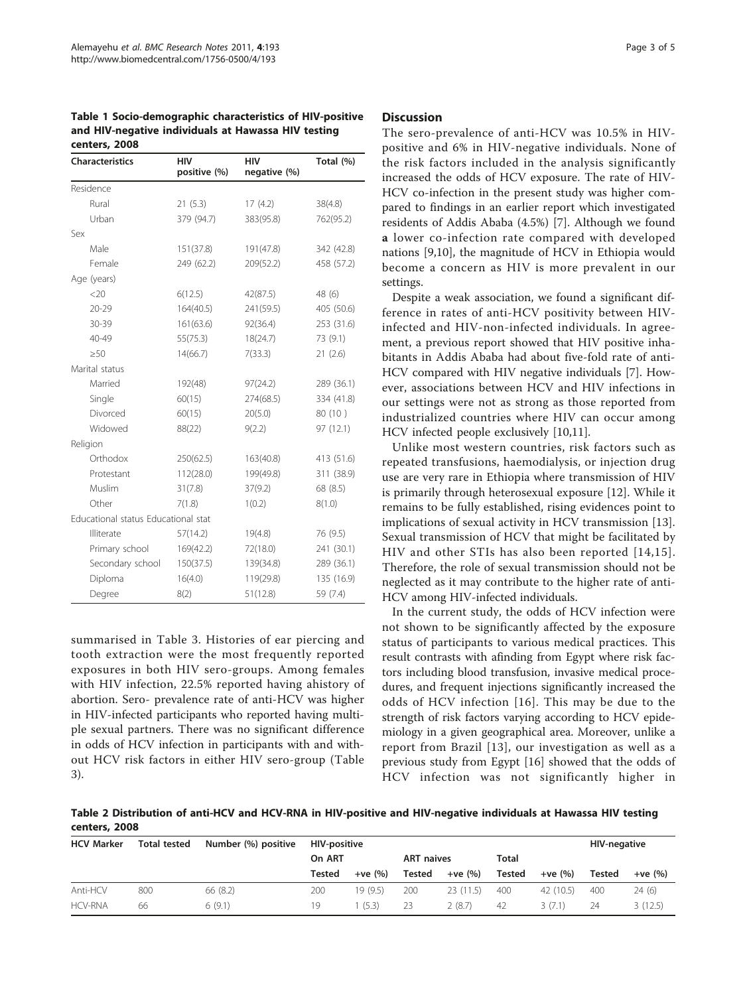<span id="page-2-0"></span>Table 1 Socio-demographic characteristics of HIV-positive and HIV-negative individuals at Hawassa HIV testing centers, 2008

| <b>Characteristics</b>              | <b>HIV</b><br>positive (%) | <b>HIV</b><br>negative (%) | Total (%)  |
|-------------------------------------|----------------------------|----------------------------|------------|
| Residence                           |                            |                            |            |
| Rural                               | 21(5.3)                    | 17(4.2)                    | 38(4.8)    |
| Urban                               | 379 (94.7)                 | 383(95.8)                  | 762(95.2)  |
| Sex                                 |                            |                            |            |
| Male                                | 151(37.8)                  | 191(47.8)                  | 342 (42.8) |
| Female                              | 249 (62.2)                 | 209(52.2)                  | 458 (57.2) |
| Age (years)                         |                            |                            |            |
| <20                                 | 6(12.5)                    | 42(87.5)                   | 48 (6)     |
| $20 - 29$                           | 164(40.5)                  | 241(59.5)                  | 405 (50.6) |
| 30-39                               | 161(63.6)                  | 92(36.4)                   | 253 (31.6) |
| 40-49                               | 55(75.3)                   | 18(24.7)                   | 73 (9.1)   |
| $\geq 50$                           | 14(66.7)                   | 7(33.3)                    | 21(2.6)    |
| Marital status                      |                            |                            |            |
| Married                             | 192(48)                    | 97(24.2)                   | 289 (36.1) |
| Single                              | 60(15)                     | 274(68.5)                  | 334 (41.8) |
| Divorced                            | 60(15)                     | 20(5.0)                    | 80 (10)    |
| Widowed                             | 88(22)                     | 9(2.2)                     | 97 (12.1)  |
| Religion                            |                            |                            |            |
| Orthodox                            | 250(62.5)                  | 163(40.8)                  | 413 (51.6) |
| Protestant                          | 112(28.0)                  | 199(49.8)                  | 311 (38.9) |
| Muslim                              | 31(7.8)                    | 37(9.2)                    | 68 (8.5)   |
| Other                               | 7(1.8)                     | 1(0.2)                     | 8(1.0)     |
| Educational status Educational stat |                            |                            |            |
| Illiterate                          | 57(14.2)                   | 19(4.8)                    | 76 (9.5)   |
| Primary school                      | 169(42.2)                  | 72(18.0)                   | 241 (30.1) |
| Secondary school                    | 150(37.5)                  | 139(34.8)                  | 289 (36.1) |
| Diploma                             | 16(4.0)                    | 119(29.8)                  | 135 (16.9) |
| Degree                              | 8(2)                       | 51(12.8)                   | 59 (7.4)   |

summarised in Table [3](#page-3-0). Histories of ear piercing and tooth extraction were the most frequently reported exposures in both HIV sero-groups. Among females with HIV infection, 22.5% reported having ahistory of abortion. Sero- prevalence rate of anti-HCV was higher in HIV-infected participants who reported having multiple sexual partners. There was no significant difference in odds of HCV infection in participants with and without HCV risk factors in either HIV sero-group (Table [3\)](#page-3-0).

## **Discussion**

The sero-prevalence of anti-HCV was 10.5% in HIVpositive and 6% in HIV-negative individuals. None of the risk factors included in the analysis significantly increased the odds of HCV exposure. The rate of HIV-HCV co-infection in the present study was higher compared to findings in an earlier report which investigated residents of Addis Ababa (4.5%) [\[7](#page-4-0)]. Although we found a lower co-infection rate compared with developed nations [\[9,10\]](#page-4-0), the magnitude of HCV in Ethiopia would become a concern as HIV is more prevalent in our settings.

Despite a weak association, we found a significant difference in rates of anti-HCV positivity between HIVinfected and HIV-non-infected individuals. In agreement, a previous report showed that HIV positive inhabitants in Addis Ababa had about five-fold rate of anti-HCV compared with HIV negative individuals [\[7\]](#page-4-0). However, associations between HCV and HIV infections in our settings were not as strong as those reported from industrialized countries where HIV can occur among HCV infected people exclusively [\[10,11\]](#page-4-0).

Unlike most western countries, risk factors such as repeated transfusions, haemodialysis, or injection drug use are very rare in Ethiopia where transmission of HIV is primarily through heterosexual exposure [\[12\]](#page-4-0). While it remains to be fully established, rising evidences point to implications of sexual activity in HCV transmission [\[13](#page-4-0)]. Sexual transmission of HCV that might be facilitated by HIV and other STIs has also been reported [[14](#page-4-0),[15\]](#page-4-0). Therefore, the role of sexual transmission should not be neglected as it may contribute to the higher rate of anti-HCV among HIV-infected individuals.

In the current study, the odds of HCV infection were not shown to be significantly affected by the exposure status of participants to various medical practices. This result contrasts with afinding from Egypt where risk factors including blood transfusion, invasive medical procedures, and frequent injections significantly increased the odds of HCV infection [[16](#page-4-0)]. This may be due to the strength of risk factors varying according to HCV epidemiology in a given geographical area. Moreover, unlike a report from Brazil [[13\]](#page-4-0), our investigation as well as a previous study from Egypt [\[16](#page-4-0)] showed that the odds of HCV infection was not significantly higher in

Table 2 Distribution of anti-HCV and HCV-RNA in HIV-positive and HIV-negative individuals at Hawassa HIV testing centers, 2008

| <b>HCV Marker</b> | <b>Total tested</b> | Number (%) positive | <b>HIV-positive</b> |          |                   |          | <b>HIV-negative</b> |           |        |          |
|-------------------|---------------------|---------------------|---------------------|----------|-------------------|----------|---------------------|-----------|--------|----------|
|                   |                     |                     | On ART              |          | <b>ART</b> naives |          | <b>Total</b>        |           |        |          |
|                   |                     |                     | Tested              | $+ve(%)$ | Tested            | $+ve(%)$ | Tested              | $+ve(%)$  | Tested | $+ve(%)$ |
| Anti-HCV          | 800                 | 66 (8.2)            | 200                 | 19 (9.5) | 200               | 23(11.5) | 400                 | 42 (10.5) | 400    | 24(6)    |
| <b>HCV-RNA</b>    | 66                  | 6(9.1)              | 19                  | (5.3)    | 23                | 2(8.7)   | 42                  | 3(7.1)    | 24     | 3(12.5)  |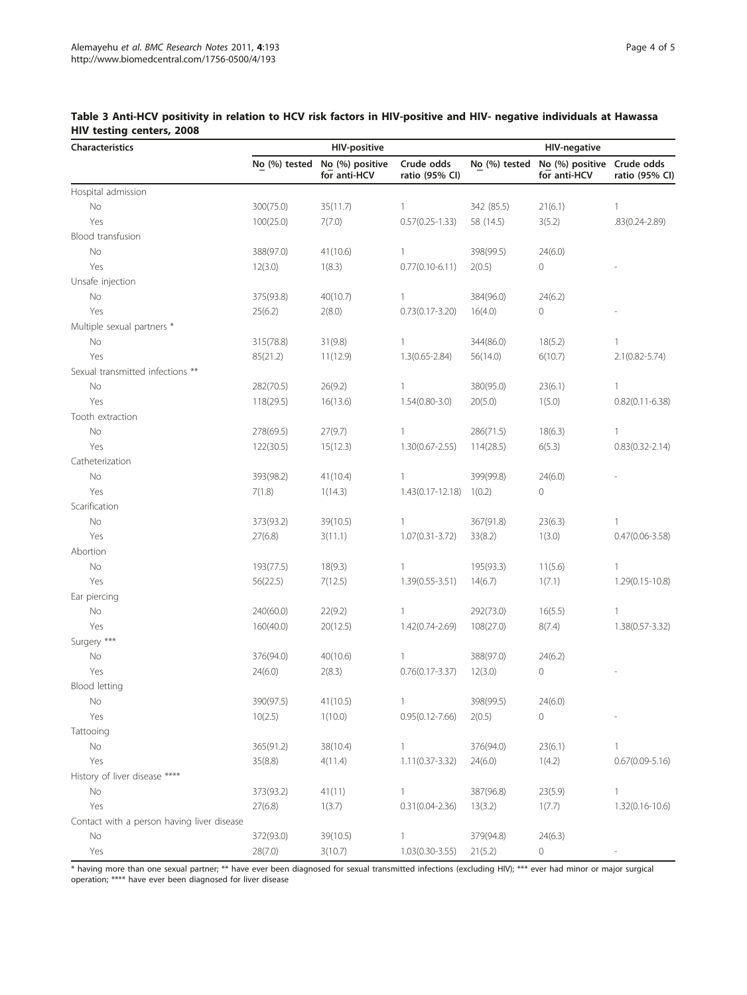| Characteristics                            | <b>HIV-positive</b> |                                 |                              | <b>HIV-negative</b> |                                            |                     |
|--------------------------------------------|---------------------|---------------------------------|------------------------------|---------------------|--------------------------------------------|---------------------|
|                                            | No (%) tested       | No (%) positive<br>for anti-HCV | Crude odds<br>ratio (95% CI) | No (%) tested       | No (%) positive Crude odds<br>for anti-HCV | ratio (95% CI)      |
| Hospital admission                         |                     |                                 |                              |                     |                                            |                     |
| No                                         | 300(75.0)           | 35(11.7)                        | $\mathbf{1}$                 | 342 (85.5)          | 21(6.1)                                    | $\mathbb{1}$        |
| Yes                                        | 100(25.0)           | 7(7.0)                          | $0.57(0.25 - 1.33)$          | 58 (14.5)           | 3(5.2)                                     | .83(0.24-2.89)      |
| Blood transfusion                          |                     |                                 |                              |                     |                                            |                     |
| No                                         | 388(97.0)           | 41(10.6)                        | $\mathbf{1}$                 | 398(99.5)           | 24(6.0)                                    |                     |
| Yes                                        | 12(3.0)             | 1(8.3)                          | $0.77(0.10-6.11)$            | 2(0.5)              | 0                                          |                     |
| Unsafe injection                           |                     |                                 |                              |                     |                                            |                     |
| $\rm No$                                   | 375(93.8)           | 40(10.7)                        | $\mathbf{1}$                 | 384(96.0)           | 24(6.2)                                    |                     |
| Yes                                        | 25(6.2)             | 2(8.0)                          | $0.73(0.17 - 3.20)$          | 16(4.0)             | 0                                          |                     |
| Multiple sexual partners *                 |                     |                                 |                              |                     |                                            |                     |
| No                                         | 315(78.8)           | 31(9.8)                         | $\mathbf{1}$                 | 344(86.0)           | 18(5.2)                                    | $\mathbf{1}$        |
| Yes                                        | 85(21.2)            | 11(12.9)                        | $1.3(0.65 - 2.84)$           | 56(14.0)            | 6(10.7)                                    | $2.1(0.82 - 5.74)$  |
| Sexual transmitted infections **           |                     |                                 |                              |                     |                                            |                     |
| No                                         | 282(70.5)           | 26(9.2)                         | $\mathbf{1}$                 | 380(95.0)           | 23(6.1)                                    | $\mathbf{1}$        |
| Yes                                        | 118(29.5)           | 16(13.6)                        | $1.54(0.80-3.0)$             | 20(5.0)             | 1(5.0)                                     | $0.82(0.11 - 6.38)$ |
| Tooth extraction                           |                     |                                 |                              |                     |                                            |                     |
| No                                         | 278(69.5)           | 27(9.7)                         | $\mathbf{1}$                 | 286(71.5)           | 18(6.3)                                    | $\mathbf{1}$        |
| Yes                                        | 122(30.5)           | 15(12.3)                        | $1.30(0.67 - 2.55)$          | 114(28.5)           | 6(5.3)                                     | $0.83(0.32 - 2.14)$ |
| Catheterization                            |                     |                                 |                              |                     |                                            |                     |
| No                                         | 393(98.2)           | 41(10.4)                        | $\mathbf{1}$                 | 399(99.8)           | 24(6.0)                                    |                     |
| Yes                                        | 7(1.8)              | 1(14.3)                         | $1.43(0.17 - 12.18)$         | 1(0.2)              | 0                                          |                     |
| Scarification                              |                     |                                 |                              |                     |                                            |                     |
| $\rm No$                                   | 373(93.2)           | 39(10.5)                        | $\mathbf{1}$                 | 367(91.8)           | 23(6.3)                                    | 1                   |
| Yes                                        | 27(6.8)             | 3(11.1)                         | $1.07(0.31 - 3.72)$          | 33(8.2)             | 1(3.0)                                     | $0.47(0.06 - 3.58)$ |
| Abortion                                   |                     |                                 |                              |                     |                                            |                     |
| $\rm No$                                   | 193(77.5)           | 18(9.3)                         | $\mathbf{1}$                 | 195(93.3)           | 11(5.6)                                    | $\mathbf{1}$        |
| Yes                                        | 56(22.5)            | 7(12.5)                         | 1.39(0.55-3.51)              | 14(6.7)             | 1(7.1)                                     | 1.29(0.15-10.8)     |
| Ear piercing                               |                     |                                 |                              |                     |                                            |                     |
| No                                         | 240(60.0)           | 22(9.2)                         | $\mathbf{1}$                 | 292(73.0)           | 16(5.5)                                    | $\mathbf{1}$        |
| Yes                                        | 160(40.0)           | 20(12.5)                        | 1.42(0.74-2.69)              | 108(27.0)           | 8(7.4)                                     | 1.38(0.57-3.32)     |
| Surgery ***                                |                     |                                 |                              |                     |                                            |                     |
| No                                         | 376(94.0)           | 40(10.6)                        | $\mathbf{1}$                 | 388(97.0)           | 24(6.2)                                    |                     |
| Yes                                        | 24(6.0)             | 2(8.3)                          | $0.76(0.17 - 3.37)$          | 12(3.0)             | 0                                          |                     |
| Blood letting                              |                     |                                 |                              |                     |                                            |                     |
| No                                         | 390(97.5)           | 41(10.5)                        |                              | 398(99.5)           | 24(6.0)                                    |                     |
| Yes                                        | 10(2.5)             | 1(10.0)                         | $0.95(0.12 - 7.66)$          | 2(0.5)              | 0                                          |                     |
| Tattooing                                  |                     |                                 |                              |                     |                                            |                     |
| No                                         | 365(91.2)           | 38(10.4)                        | $\mathbf{1}$                 | 376(94.0)           | 23(6.1)                                    | 1                   |
| Yes                                        | 35(8.8)             | 4(11.4)                         | $1.11(0.37 - 3.32)$          | 24(6.0)             | 1(4.2)                                     | $0.67(0.09 - 5.16)$ |
| History of liver disease ****              |                     |                                 |                              |                     |                                            |                     |
| No                                         | 373(93.2)           | 41(11)                          | 1                            | 387(96.8)           | 23(5.9)                                    | $\mathbf{1}$        |
| Yes                                        | 27(6.8)             | 1(3.7)                          | $0.31(0.04 - 2.36)$          | 13(3.2)             | 1(7.7)                                     | $1.32(0.16 - 10.6)$ |
| Contact with a person having liver disease |                     |                                 |                              |                     |                                            |                     |
| No                                         | 372(93.0)           | 39(10.5)                        | 1                            | 379(94.8)           | 24(6.3)                                    |                     |
| Yes                                        | 28(7.0)             | 3(10.7)                         | $1.03(0.30-3.55)$            | 21(5.2)             | 0                                          |                     |

## <span id="page-3-0"></span>Table 3 Anti-HCV positivity in relation to HCV risk factors in HIV-positive and HIV- negative individuals at Hawassa HIV testing centers, 2008

\* having more than one sexual partner; \*\* have ever been diagnosed for sexual transmitted infections (excluding HIV); \*\*\* ever had minor or major surgical operation; \*\*\*\* have ever been diagnosed for liver disease